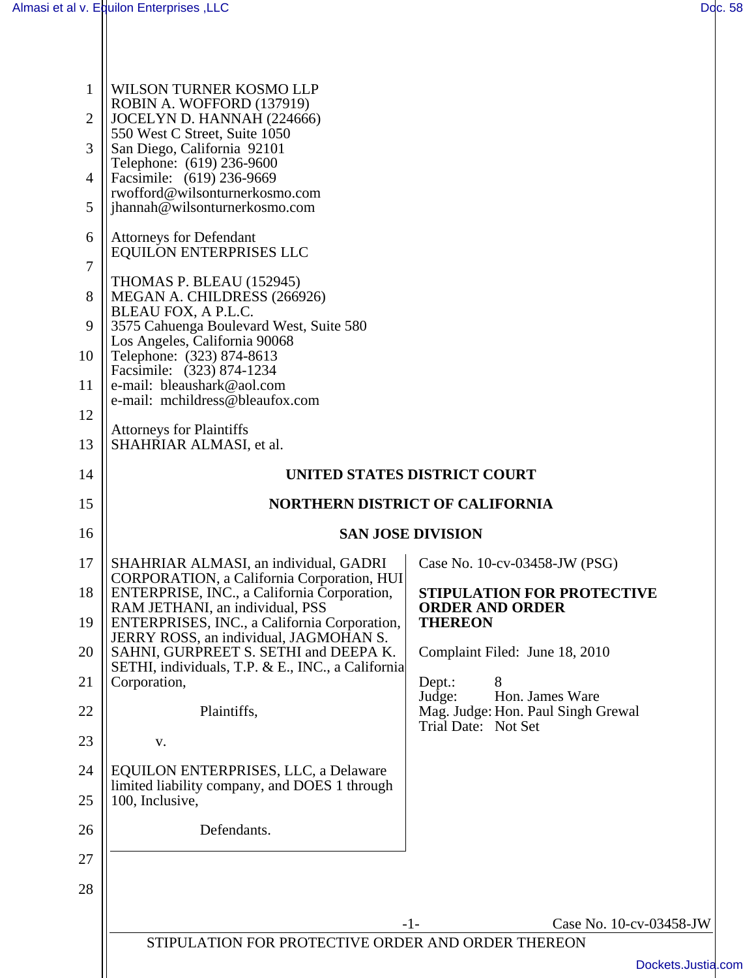| $\mathbf{1}$<br>$\overline{2}$ | WILSON TURNER KOSMO LLP<br>ROBIN A. WOFFORD (137919)<br>JOCELYN D. HANNAH (224666)                                        |                                                           |
|--------------------------------|---------------------------------------------------------------------------------------------------------------------------|-----------------------------------------------------------|
| 3                              | 550 West C Street, Suite 1050<br>San Diego, California 92101                                                              |                                                           |
| $\overline{4}$                 | Telephone: (619) 236-9600<br>Facsimile: (619) 236-9669                                                                    |                                                           |
| 5                              | rwofford@wilsonturnerkosmo.com<br>jhannah@wilsonturnerkosmo.com                                                           |                                                           |
| 6                              | <b>Attorneys for Defendant</b><br><b>EQUILON ENTERPRISES LLC</b>                                                          |                                                           |
| 7                              | THOMAS P. BLEAU (152945)                                                                                                  |                                                           |
| 8                              | MEGAN A. CHILDRESS (266926)<br>BLEAU FOX, A P.L.C.                                                                        |                                                           |
| 9                              | 3575 Cahuenga Boulevard West, Suite 580<br>Los Angeles, California 90068                                                  |                                                           |
| 10                             | Telephone: (323) 874-8613<br>Facsimile: (323) 874-1234                                                                    |                                                           |
| 11                             | e-mail: bleaushark@aol.com<br>e-mail: mchildress@bleaufox.com                                                             |                                                           |
| 12<br>13                       | <b>Attorneys for Plaintiffs</b><br>SHAHRIAR ALMASI, et al.                                                                |                                                           |
| 14                             |                                                                                                                           | UNITED STATES DISTRICT COURT                              |
| 15                             |                                                                                                                           | <b>NORTHERN DISTRICT OF CALIFORNIA</b>                    |
|                                |                                                                                                                           |                                                           |
| 16                             |                                                                                                                           | <b>SAN JOSE DIVISION</b>                                  |
| 17                             | SHAHRIAR ALMASI, an individual, GADRI                                                                                     | Case No. 10-cv-03458-JW (PSG)                             |
| 18                             | CORPORATION, a California Corporation, HUI<br>ENTERPRISE, INC., a California Corporation,                                 | <b>STIPULATION FOR PROTECTIVE</b>                         |
| 19                             | RAM JETHANI, an individual, PSS<br>ENTERPRISES, INC., a California Corporation,<br>JERRY ROSS, an individual, JAGMOHAN S. | <b>ORDER AND ORDER</b><br><b>THEREON</b>                  |
| 20                             | SAHNI, GURPREET S. SETHI and DEEPA K.<br>SETHI, individuals, T.P. & E., INC., a California                                | Complaint Filed: June 18, 2010                            |
| 21                             | Corporation,                                                                                                              | Dept.:<br>8<br>Hon. James Ware<br>Judge:                  |
| 22                             | Plaintiffs,                                                                                                               | Mag. Judge: Hon. Paul Singh Grewal<br>Trial Date: Not Set |
| 23                             | V.                                                                                                                        |                                                           |
| 24<br>25                       | EQUILON ENTERPRISES, LLC, a Delaware<br>limited liability company, and DOES 1 through<br>100, Inclusive,                  |                                                           |
| 26                             | Defendants.                                                                                                               |                                                           |
| 27                             |                                                                                                                           |                                                           |
| 28                             |                                                                                                                           |                                                           |
|                                |                                                                                                                           | Case No. 10-cv-03458-JW<br>$-1-$                          |
|                                | STIPULATION FOR PROTECTIVE ORDER AND ORDER THEREON                                                                        | Dockets.Justia.com                                        |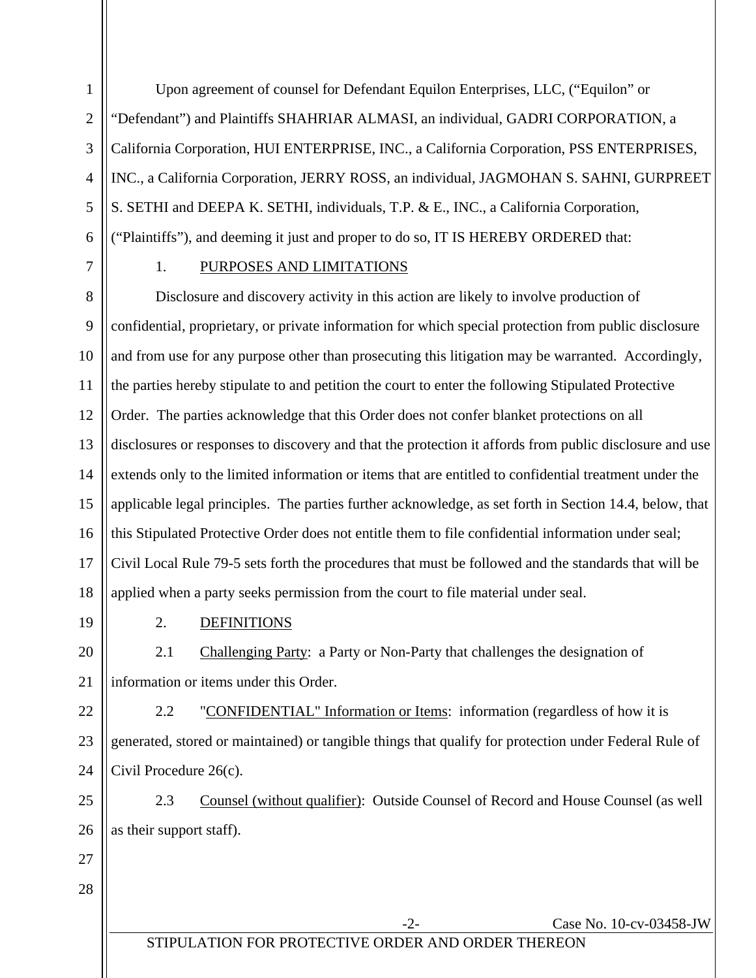Upon agreement of counsel for Defendant Equilon Enterprises, LLC, ("Equilon" or "Defendant") and Plaintiffs SHAHRIAR ALMASI, an individual, GADRI CORPORATION, a California Corporation, HUI ENTERPRISE, INC., a California Corporation, PSS ENTERPRISES, INC., a California Corporation, JERRY ROSS, an individual, JAGMOHAN S. SAHNI, GURPREET S. SETHI and DEEPA K. SETHI, individuals, T.P. & E., INC., a California Corporation, ("Plaintiffs"), and deeming it just and proper to do so, IT IS HEREBY ORDERED that:

7

1

 $\overline{2}$ 

3

4

5

6

## 1. PURPOSES AND LIMITATIONS

8 9 10 11 12 13 14 15 16 17 18 Disclosure and discovery activity in this action are likely to involve production of confidential, proprietary, or private information for which special protection from public disclosure and from use for any purpose other than prosecuting this litigation may be warranted. Accordingly, the parties hereby stipulate to and petition the court to enter the following Stipulated Protective Order. The parties acknowledge that this Order does not confer blanket protections on all disclosures or responses to discovery and that the protection it affords from public disclosure and use extends only to the limited information or items that are entitled to confidential treatment under the applicable legal principles. The parties further acknowledge, as set forth in Section 14.4, below, that this Stipulated Protective Order does not entitle them to file confidential information under seal; Civil Local Rule 79-5 sets forth the procedures that must be followed and the standards that will be applied when a party seeks permission from the court to file material under seal.

19

## 2. DEFINITIONS

20 21 2.1 Challenging Party: a Party or Non-Party that challenges the designation of information or items under this Order.

22 23 24 2.2 "CONFIDENTIAL" Information or Items: information (regardless of how it is generated, stored or maintained) or tangible things that qualify for protection under Federal Rule of Civil Procedure 26(c).

25 26 2.3 Counsel (without qualifier): Outside Counsel of Record and House Counsel (as well as their support staff).

27 28

-2- Case No. 10-cv-03458-JW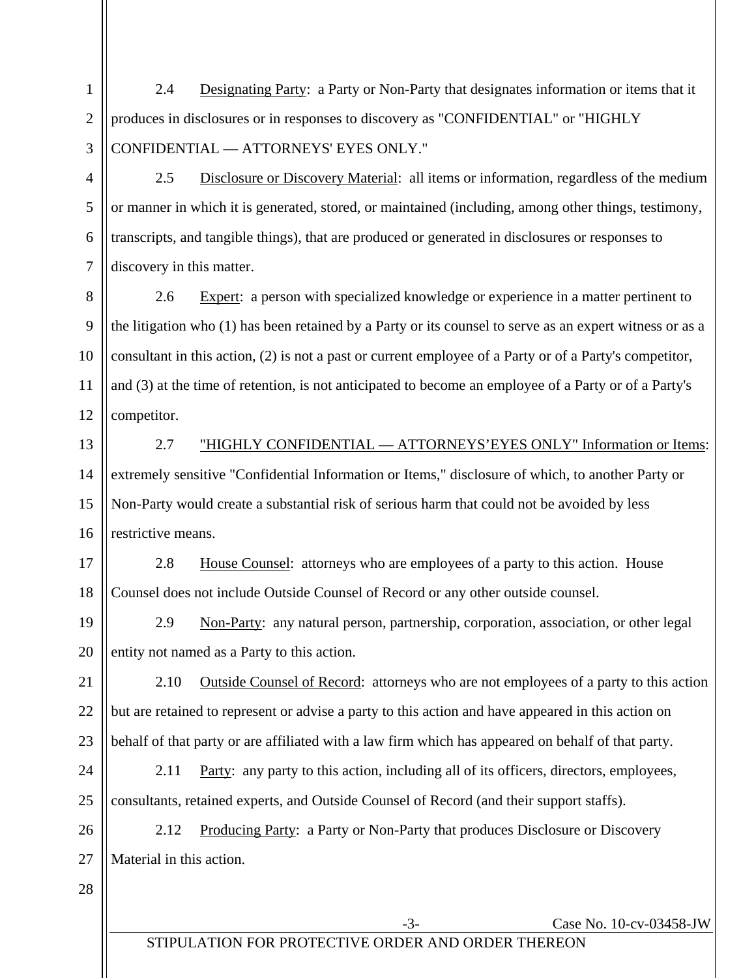1  $\mathfrak{D}$ 3 2.4 Designating Party: a Party or Non-Party that designates information or items that it produces in disclosures or in responses to discovery as "CONFIDENTIAL" or "HIGHLY CONFIDENTIAL — ATTORNEYS' EYES ONLY."

2.5 Disclosure or Discovery Material: all items or information, regardless of the medium or manner in which it is generated, stored, or maintained (including, among other things, testimony, transcripts, and tangible things), that are produced or generated in disclosures or responses to discovery in this matter.

8 9 10 11 12 2.6 Expert: a person with specialized knowledge or experience in a matter pertinent to the litigation who (1) has been retained by a Party or its counsel to serve as an expert witness or as a consultant in this action, (2) is not a past or current employee of a Party or of a Party's competitor, and (3) at the time of retention, is not anticipated to become an employee of a Party or of a Party's competitor.

13 14 15 16 2.7 "HIGHLY CONFIDENTIAL — ATTORNEYS'EYES ONLY" Information or Items: extremely sensitive "Confidential Information or Items," disclosure of which, to another Party or Non-Party would create a substantial risk of serious harm that could not be avoided by less restrictive means.

17 18 2.8 House Counsel: attorneys who are employees of a party to this action. House Counsel does not include Outside Counsel of Record or any other outside counsel.

19 20 2.9 Non-Party: any natural person, partnership, corporation, association, or other legal entity not named as a Party to this action.

21 22 23 2.10 Outside Counsel of Record: attorneys who are not employees of a party to this action but are retained to represent or advise a party to this action and have appeared in this action on behalf of that party or are affiliated with a law firm which has appeared on behalf of that party.

24 25 2.11 Party: any party to this action, including all of its officers, directors, employees, consultants, retained experts, and Outside Counsel of Record (and their support staffs).

26 27 2.12 Producing Party: a Party or Non-Party that produces Disclosure or Discovery Material in this action.

28

4

5

6

7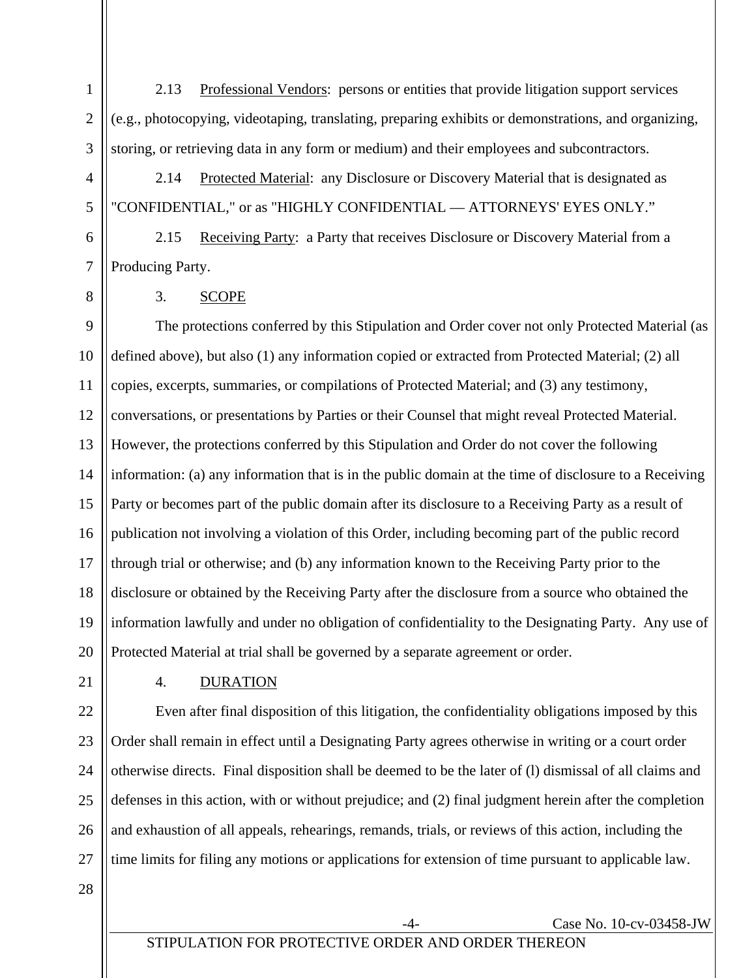2.13 Professional Vendors: persons or entities that provide litigation support services (e.g., photocopying, videotaping, translating, preparing exhibits or demonstrations, and organizing, storing, or retrieving data in any form or medium) and their employees and subcontractors.

2.14 Protected Material: any Disclosure or Discovery Material that is designated as "CONFIDENTIAL," or as "HIGHLY CONFIDENTIAL — ATTORNEYS' EYES ONLY."

2.15 Receiving Party: a Party that receives Disclosure or Discovery Material from a Producing Party.

3. SCOPE

9 10 11 12 13 14 15 16 17 18 19 20 The protections conferred by this Stipulation and Order cover not only Protected Material (as defined above), but also (1) any information copied or extracted from Protected Material; (2) all copies, excerpts, summaries, or compilations of Protected Material; and (3) any testimony, conversations, or presentations by Parties or their Counsel that might reveal Protected Material. However, the protections conferred by this Stipulation and Order do not cover the following information: (a) any information that is in the public domain at the time of disclosure to a Receiving Party or becomes part of the public domain after its disclosure to a Receiving Party as a result of publication not involving a violation of this Order, including becoming part of the public record through trial or otherwise; and (b) any information known to the Receiving Party prior to the disclosure or obtained by the Receiving Party after the disclosure from a source who obtained the information lawfully and under no obligation of confidentiality to the Designating Party. Any use of Protected Material at trial shall be governed by a separate agreement or order.

21

1

2

3

4

5

6

7

8

## 4. DURATION

22 23 24 25 26 27 Even after final disposition of this litigation, the confidentiality obligations imposed by this Order shall remain in effect until a Designating Party agrees otherwise in writing or a court order otherwise directs. Final disposition shall be deemed to be the later of (l) dismissal of all claims and defenses in this action, with or without prejudice; and (2) final judgment herein after the completion and exhaustion of all appeals, rehearings, remands, trials, or reviews of this action, including the time limits for filing any motions or applications for extension of time pursuant to applicable law.

28

-4- Case No. 10-cv-03458-JW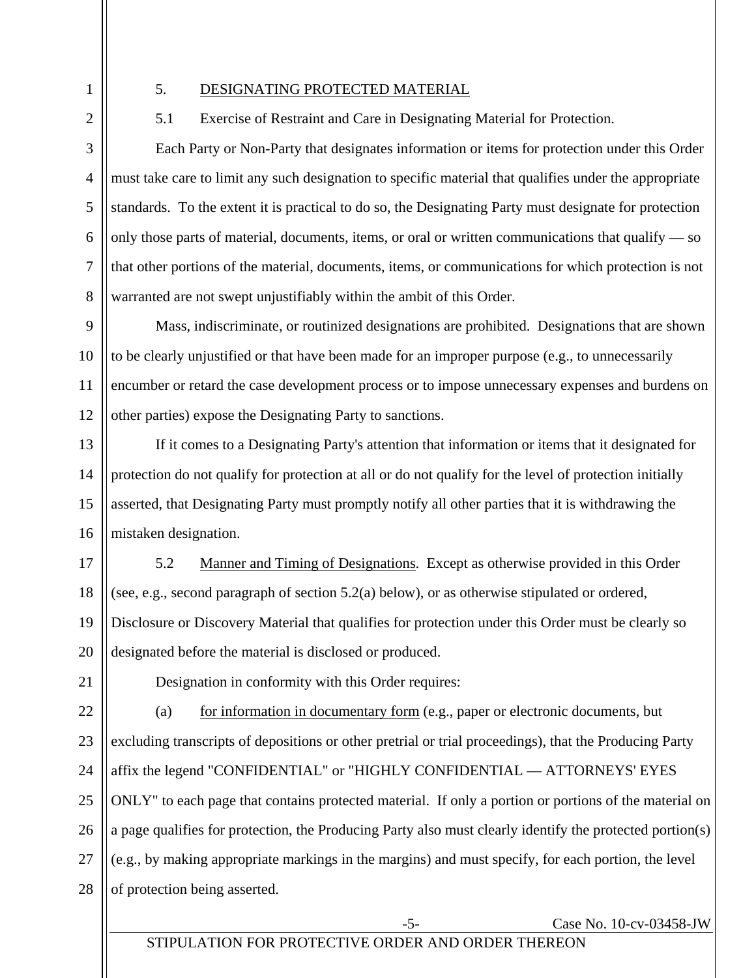1

2

3

4

5

6

7

8

## 5. DESIGNATING PROTECTED MATERIAL

5.1 Exercise of Restraint and Care in Designating Material for Protection.

Each Party or Non-Party that designates information or items for protection under this Order must take care to limit any such designation to specific material that qualifies under the appropriate standards. To the extent it is practical to do so, the Designating Party must designate for protection only those parts of material, documents, items, or oral or written communications that qualify — so that other portions of the material, documents, items, or communications for which protection is not warranted are not swept unjustifiably within the ambit of this Order.

9 10 11 12 Mass, indiscriminate, or routinized designations are prohibited. Designations that are shown to be clearly unjustified or that have been made for an improper purpose (e.g., to unnecessarily encumber or retard the case development process or to impose unnecessary expenses and burdens on other parties) expose the Designating Party to sanctions.

13 14 15 16 If it comes to a Designating Party's attention that information or items that it designated for protection do not qualify for protection at all or do not qualify for the level of protection initially asserted, that Designating Party must promptly notify all other parties that it is withdrawing the mistaken designation.

17 18 19 20 5.2 Manner and Timing of Designations. Except as otherwise provided in this Order (see, e.g., second paragraph of section 5.2(a) below), or as otherwise stipulated or ordered, Disclosure or Discovery Material that qualifies for protection under this Order must be clearly so designated before the material is disclosed or produced.

21

Designation in conformity with this Order requires:

22 23 24 25 26 27 28 (a) for information in documentary form (e.g., paper or electronic documents, but excluding transcripts of depositions or other pretrial or trial proceedings), that the Producing Party affix the legend "CONFIDENTIAL" or "HIGHLY CONFIDENTIAL — ATTORNEYS' EYES ONLY" to each page that contains protected material. If only a portion or portions of the material on a page qualifies for protection, the Producing Party also must clearly identify the protected portion(s) (e.g., by making appropriate markings in the margins) and must specify, for each portion, the level of protection being asserted.

-5- Case No. 10-cv-03458-JW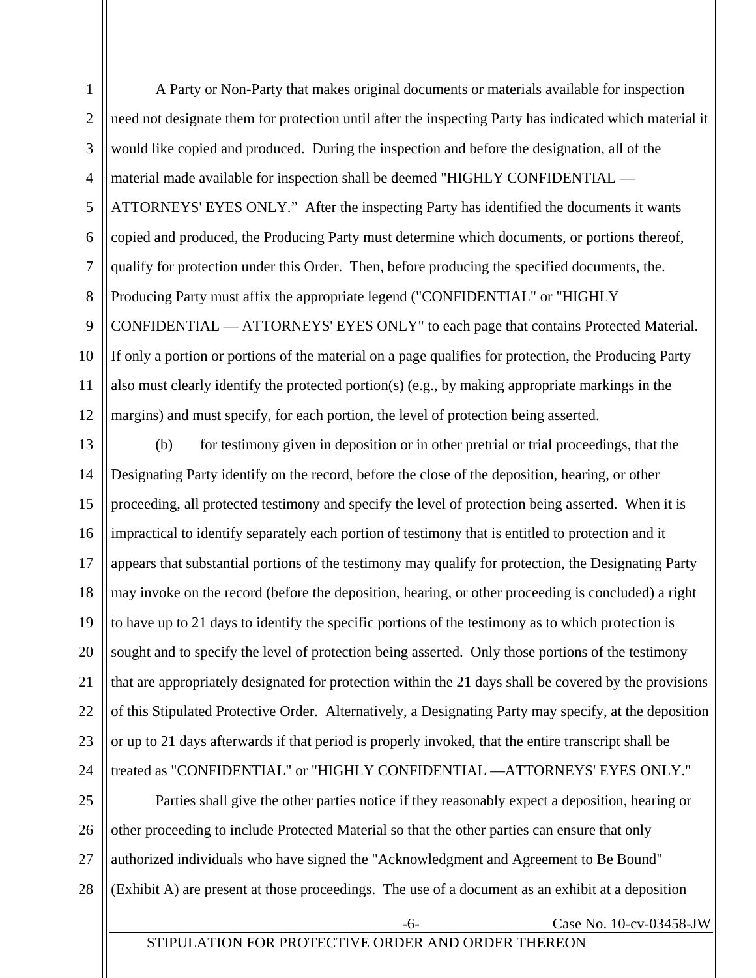1 2 3 4 5 6 7 8 9 10 11 12 A Party or Non-Party that makes original documents or materials available for inspection need not designate them for protection until after the inspecting Party has indicated which material it would like copied and produced. During the inspection and before the designation, all of the material made available for inspection shall be deemed "HIGHLY CONFIDENTIAL — ATTORNEYS' EYES ONLY." After the inspecting Party has identified the documents it wants copied and produced, the Producing Party must determine which documents, or portions thereof, qualify for protection under this Order. Then, before producing the specified documents, the. Producing Party must affix the appropriate legend ("CONFIDENTIAL" or "HIGHLY CONFIDENTIAL — ATTORNEYS' EYES ONLY" to each page that contains Protected Material. If only a portion or portions of the material on a page qualifies for protection, the Producing Party also must clearly identify the protected portion(s) (e.g., by making appropriate markings in the margins) and must specify, for each portion, the level of protection being asserted.

13 14 15 16 17 18 19 20 21 22 23 24 (b) for testimony given in deposition or in other pretrial or trial proceedings, that the Designating Party identify on the record, before the close of the deposition, hearing, or other proceeding, all protected testimony and specify the level of protection being asserted. When it is impractical to identify separately each portion of testimony that is entitled to protection and it appears that substantial portions of the testimony may qualify for protection, the Designating Party may invoke on the record (before the deposition, hearing, or other proceeding is concluded) a right to have up to 21 days to identify the specific portions of the testimony as to which protection is sought and to specify the level of protection being asserted. Only those portions of the testimony that are appropriately designated for protection within the 21 days shall be covered by the provisions of this Stipulated Protective Order. Alternatively, a Designating Party may specify, at the deposition or up to 21 days afterwards if that period is properly invoked, that the entire transcript shall be treated as "CONFIDENTIAL" or "HIGHLY CONFIDENTIAL —ATTORNEYS' EYES ONLY."

25 26 27 28 Parties shall give the other parties notice if they reasonably expect a deposition, hearing or other proceeding to include Protected Material so that the other parties can ensure that only authorized individuals who have signed the "Acknowledgment and Agreement to Be Bound" (Exhibit A) are present at those proceedings. The use of a document as an exhibit at a deposition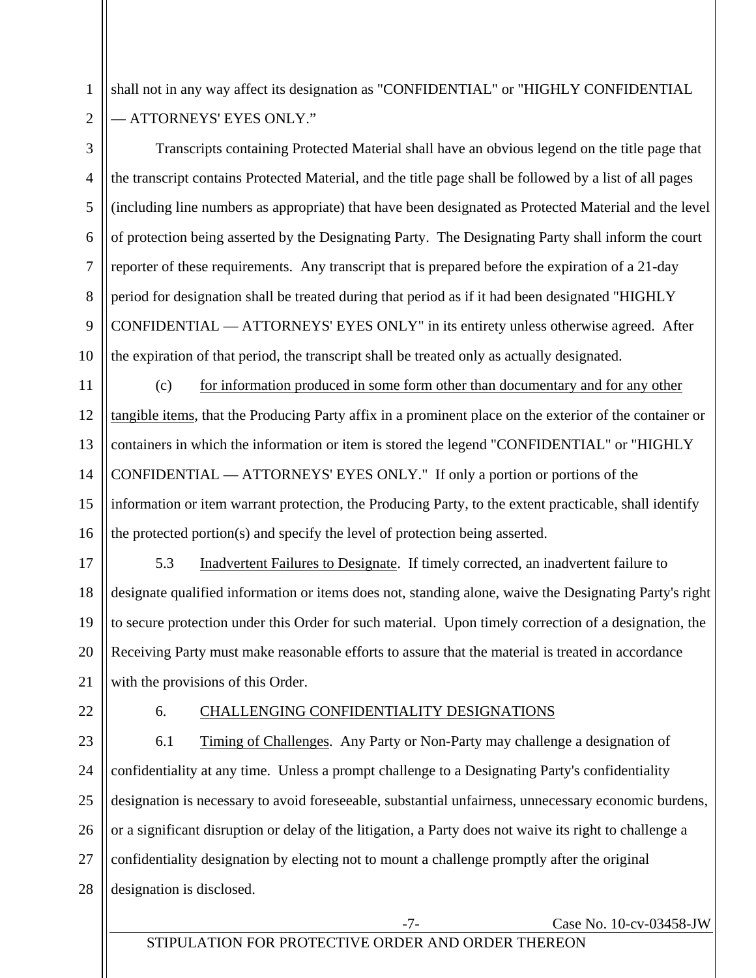shall not in any way affect its designation as "CONFIDENTIAL" or "HIGHLY CONFIDENTIAL — ATTORNEYS' EYES ONLY."

Transcripts containing Protected Material shall have an obvious legend on the title page that the transcript contains Protected Material, and the title page shall be followed by a list of all pages (including line numbers as appropriate) that have been designated as Protected Material and the level of protection being asserted by the Designating Party. The Designating Party shall inform the court reporter of these requirements. Any transcript that is prepared before the expiration of a 21-day period for designation shall be treated during that period as if it had been designated "HIGHLY CONFIDENTIAL — ATTORNEYS' EYES ONLY" in its entirety unless otherwise agreed. After the expiration of that period, the transcript shall be treated only as actually designated.

11 12 13 14 15 16 (c) for information produced in some form other than documentary and for any other tangible items, that the Producing Party affix in a prominent place on the exterior of the container or containers in which the information or item is stored the legend "CONFIDENTIAL" or "HIGHLY CONFIDENTIAL — ATTORNEYS' EYES ONLY." If only a portion or portions of the information or item warrant protection, the Producing Party, to the extent practicable, shall identify the protected portion(s) and specify the level of protection being asserted.

17 18 19 20 21 5.3 Inadvertent Failures to Designate. If timely corrected, an inadvertent failure to designate qualified information or items does not, standing alone, waive the Designating Party's right to secure protection under this Order for such material. Upon timely correction of a designation, the Receiving Party must make reasonable efforts to assure that the material is treated in accordance with the provisions of this Order.

22

1

2

3

4

5

6

7

8

9

10

## 6. CHALLENGING CONFIDENTIALITY DESIGNATIONS

23 24 25 26 27 28 6.1 Timing of Challenges. Any Party or Non-Party may challenge a designation of confidentiality at any time. Unless a prompt challenge to a Designating Party's confidentiality designation is necessary to avoid foreseeable, substantial unfairness, unnecessary economic burdens, or a significant disruption or delay of the litigation, a Party does not waive its right to challenge a confidentiality designation by electing not to mount a challenge promptly after the original designation is disclosed.

-7- Case No. 10-cv-03458-JW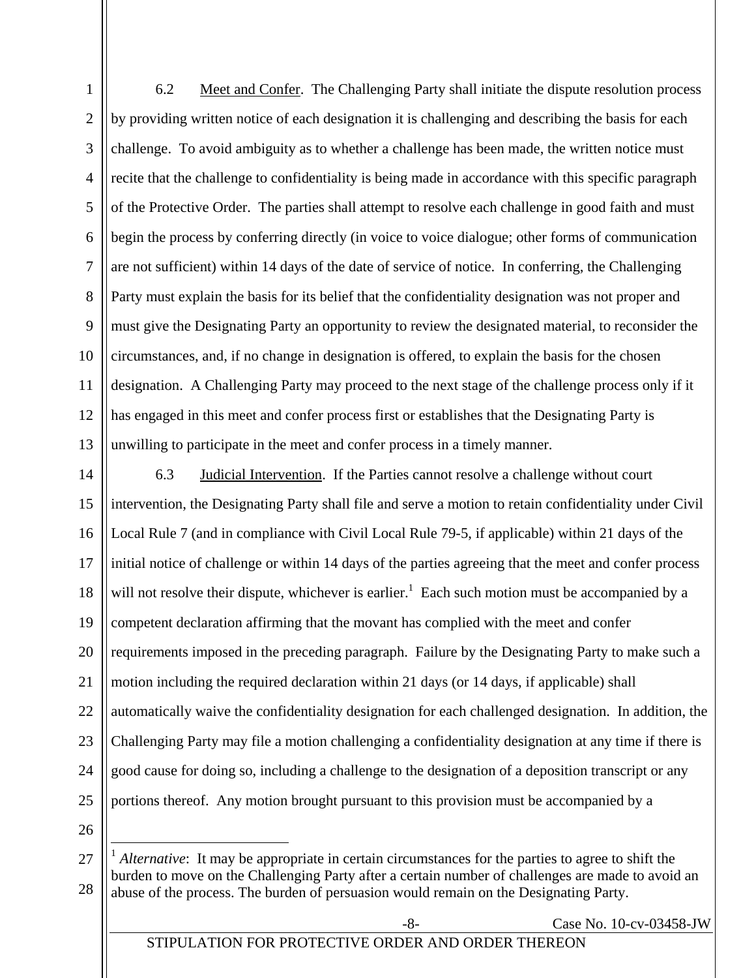1  $\overline{2}$ 3 4 5 6 7 8 9 10 11 12 13 6.2 Meet and Confer. The Challenging Party shall initiate the dispute resolution process by providing written notice of each designation it is challenging and describing the basis for each challenge. To avoid ambiguity as to whether a challenge has been made, the written notice must recite that the challenge to confidentiality is being made in accordance with this specific paragraph of the Protective Order. The parties shall attempt to resolve each challenge in good faith and must begin the process by conferring directly (in voice to voice dialogue; other forms of communication are not sufficient) within 14 days of the date of service of notice. In conferring, the Challenging Party must explain the basis for its belief that the confidentiality designation was not proper and must give the Designating Party an opportunity to review the designated material, to reconsider the circumstances, and, if no change in designation is offered, to explain the basis for the chosen designation. A Challenging Party may proceed to the next stage of the challenge process only if it has engaged in this meet and confer process first or establishes that the Designating Party is unwilling to participate in the meet and confer process in a timely manner.

14 15 16 17 18 19 20 21 22 23 24 25 6.3 Judicial Intervention. If the Parties cannot resolve a challenge without court intervention, the Designating Party shall file and serve a motion to retain confidentiality under Civil Local Rule 7 (and in compliance with Civil Local Rule 79-5, if applicable) within 21 days of the initial notice of challenge or within 14 days of the parties agreeing that the meet and confer process will not resolve their dispute, whichever is earlier.<sup>1</sup> Each such motion must be accompanied by a competent declaration affirming that the movant has complied with the meet and confer requirements imposed in the preceding paragraph. Failure by the Designating Party to make such a motion including the required declaration within 21 days (or 14 days, if applicable) shall automatically waive the confidentiality designation for each challenged designation. In addition, the Challenging Party may file a motion challenging a confidentiality designation at any time if there is good cause for doing so, including a challenge to the designation of a deposition transcript or any portions thereof. Any motion brought pursuant to this provision must be accompanied by a

26

<u>.</u>

- 
- 27

<sup>28</sup> <sup>1</sup> *Alternative*: It may be appropriate in certain circumstances for the parties to agree to shift the burden to move on the Challenging Party after a certain number of challenges are made to avoid an abuse of the process. The burden of persuasion would remain on the Designating Party.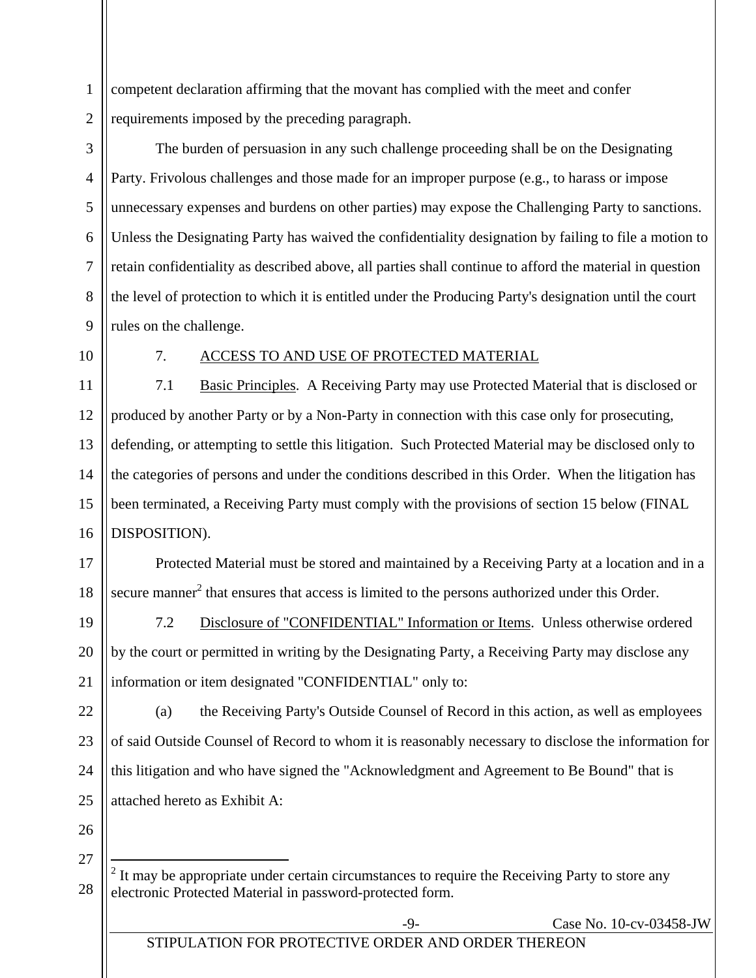competent declaration affirming that the movant has complied with the meet and confer requirements imposed by the preceding paragraph.

The burden of persuasion in any such challenge proceeding shall be on the Designating Party. Frivolous challenges and those made for an improper purpose (e.g., to harass or impose unnecessary expenses and burdens on other parties) may expose the Challenging Party to sanctions. Unless the Designating Party has waived the confidentiality designation by failing to file a motion to retain confidentiality as described above, all parties shall continue to afford the material in question the level of protection to which it is entitled under the Producing Party's designation until the court rules on the challenge.

10

1

 $\mathfrak{D}$ 

3

4

5

6

7

8

9

## 7. ACCESS TO AND USE OF PROTECTED MATERIAL

11 12 13 14 15 16 7.1 Basic Principles. A Receiving Party may use Protected Material that is disclosed or produced by another Party or by a Non-Party in connection with this case only for prosecuting, defending, or attempting to settle this litigation. Such Protected Material may be disclosed only to the categories of persons and under the conditions described in this Order. When the litigation has been terminated, a Receiving Party must comply with the provisions of section 15 below (FINAL DISPOSITION).

17 18 Protected Material must be stored and maintained by a Receiving Party at a location and in a secure manner<sup>2</sup> that ensures that access is limited to the persons authorized under this Order.

19 20 21 7.2 Disclosure of "CONFIDENTIAL" Information or Items. Unless otherwise ordered by the court or permitted in writing by the Designating Party, a Receiving Party may disclose any information or item designated "CONFIDENTIAL" only to:

22 23 24 25 (a) the Receiving Party's Outside Counsel of Record in this action, as well as employees of said Outside Counsel of Record to whom it is reasonably necessary to disclose the information for this litigation and who have signed the "Acknowledgment and Agreement to Be Bound" that is attached hereto as Exhibit A:

26

<sup>27</sup>

<sup>28</sup> <sup>2</sup> It may be appropriate under certain circumstances to require the Receiving Party to store any electronic Protected Material in password-protected form.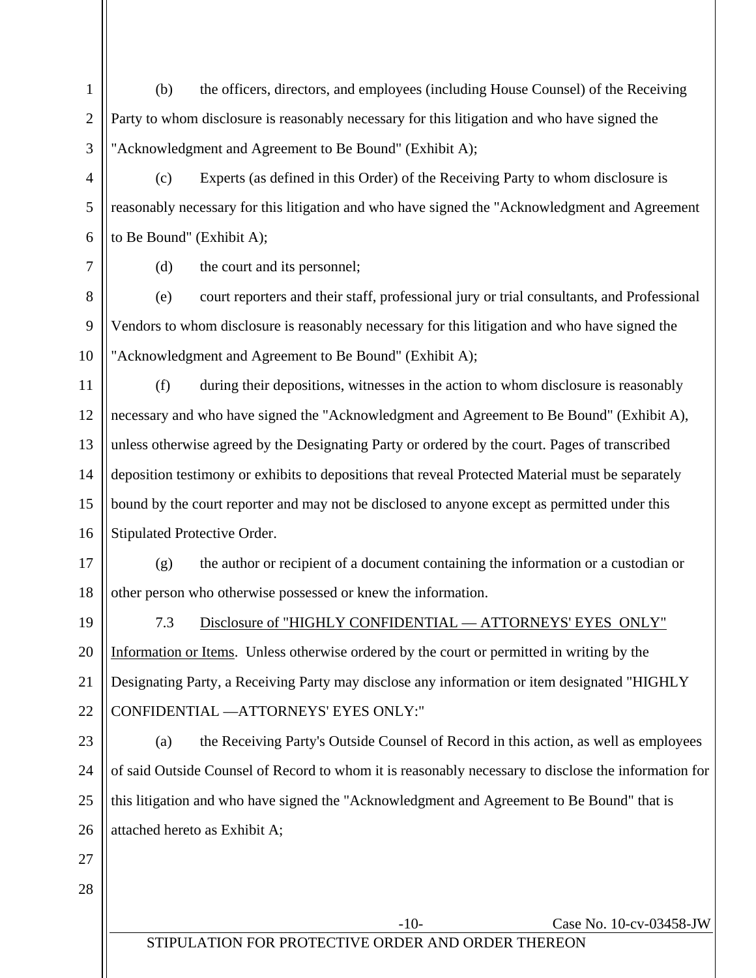(b) the officers, directors, and employees (including House Counsel) of the Receiving Party to whom disclosure is reasonably necessary for this litigation and who have signed the "Acknowledgment and Agreement to Be Bound" (Exhibit A);

(c) Experts (as defined in this Order) of the Receiving Party to whom disclosure is reasonably necessary for this litigation and who have signed the "Acknowledgment and Agreement to Be Bound" (Exhibit A);

7

1

 $\mathfrak{D}$ 

3

4

5

6

(d) the court and its personnel;

8 9 10 (e) court reporters and their staff, professional jury or trial consultants, and Professional Vendors to whom disclosure is reasonably necessary for this litigation and who have signed the "Acknowledgment and Agreement to Be Bound" (Exhibit A);

11

12 13 14 15 16 (f) during their depositions, witnesses in the action to whom disclosure is reasonably necessary and who have signed the "Acknowledgment and Agreement to Be Bound" (Exhibit A), unless otherwise agreed by the Designating Party or ordered by the court. Pages of transcribed deposition testimony or exhibits to depositions that reveal Protected Material must be separately bound by the court reporter and may not be disclosed to anyone except as permitted under this Stipulated Protective Order.

17 18 (g) the author or recipient of a document containing the information or a custodian or other person who otherwise possessed or knew the information.

19 20 21 22 7.3 Disclosure of "HIGHLY CONFIDENTIAL — ATTORNEYS' EYES ONLY" Information or Items. Unless otherwise ordered by the court or permitted in writing by the Designating Party, a Receiving Party may disclose any information or item designated "HIGHLY CONFIDENTIAL —ATTORNEYS' EYES ONLY:"

23 24 25 26 (a) the Receiving Party's Outside Counsel of Record in this action, as well as employees of said Outside Counsel of Record to whom it is reasonably necessary to disclose the information for this litigation and who have signed the "Acknowledgment and Agreement to Be Bound" that is attached hereto as Exhibit A;

27 28

-10- Case No. 10-cv-03458-JW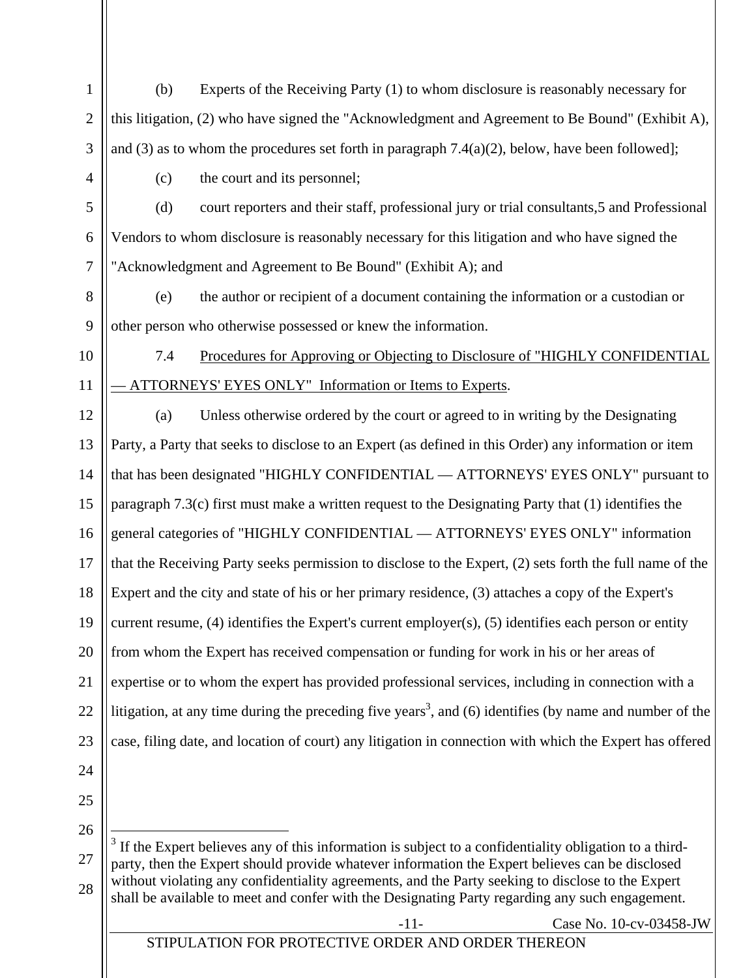-11- Case No. 10-cv-03458-JW STIPULATION FOR PROTECTIVE ORDER AND ORDER THEREON 1  $\mathfrak{D}$ 3 4 5 6 7 8 9 10 11 12 13 14 15 16 17 18 19 20 21 22 23 24 25 26 27 28 (b) Experts of the Receiving Party (1) to whom disclosure is reasonably necessary for this litigation, (2) who have signed the "Acknowledgment and Agreement to Be Bound" (Exhibit A), and (3) as to whom the procedures set forth in paragraph  $7.4(a)(2)$ , below, have been followed]; (c) the court and its personnel; (d) court reporters and their staff, professional jury or trial consultants,5 and Professional Vendors to whom disclosure is reasonably necessary for this litigation and who have signed the "Acknowledgment and Agreement to Be Bound" (Exhibit A); and (e) the author or recipient of a document containing the information or a custodian or other person who otherwise possessed or knew the information. 7.4 Procedures for Approving or Objecting to Disclosure of "HIGHLY CONFIDENTIAL — ATTORNEYS' EYES ONLY" Information or Items to Experts. (a) Unless otherwise ordered by the court or agreed to in writing by the Designating Party, a Party that seeks to disclose to an Expert (as defined in this Order) any information or item that has been designated "HIGHLY CONFIDENTIAL — ATTORNEYS' EYES ONLY" pursuant to paragraph 7.3(c) first must make a written request to the Designating Party that (1) identifies the general categories of "HIGHLY CONFIDENTIAL — ATTORNEYS' EYES ONLY" information that the Receiving Party seeks permission to disclose to the Expert, (2) sets forth the full name of the Expert and the city and state of his or her primary residence, (3) attaches a copy of the Expert's current resume, (4) identifies the Expert's current employer(s), (5) identifies each person or entity from whom the Expert has received compensation or funding for work in his or her areas of expertise or to whom the expert has provided professional services, including in connection with a litigation, at any time during the preceding five years<sup>3</sup>, and (6) identifies (by name and number of the case, filing date, and location of court) any litigation in connection with which the Expert has offered  $\overline{a}$ 3 If the Expert believes any of this information is subject to a confidentiality obligation to a thirdparty, then the Expert should provide whatever information the Expert believes can be disclosed without violating any confidentiality agreements, and the Party seeking to disclose to the Expert shall be available to meet and confer with the Designating Party regarding any such engagement.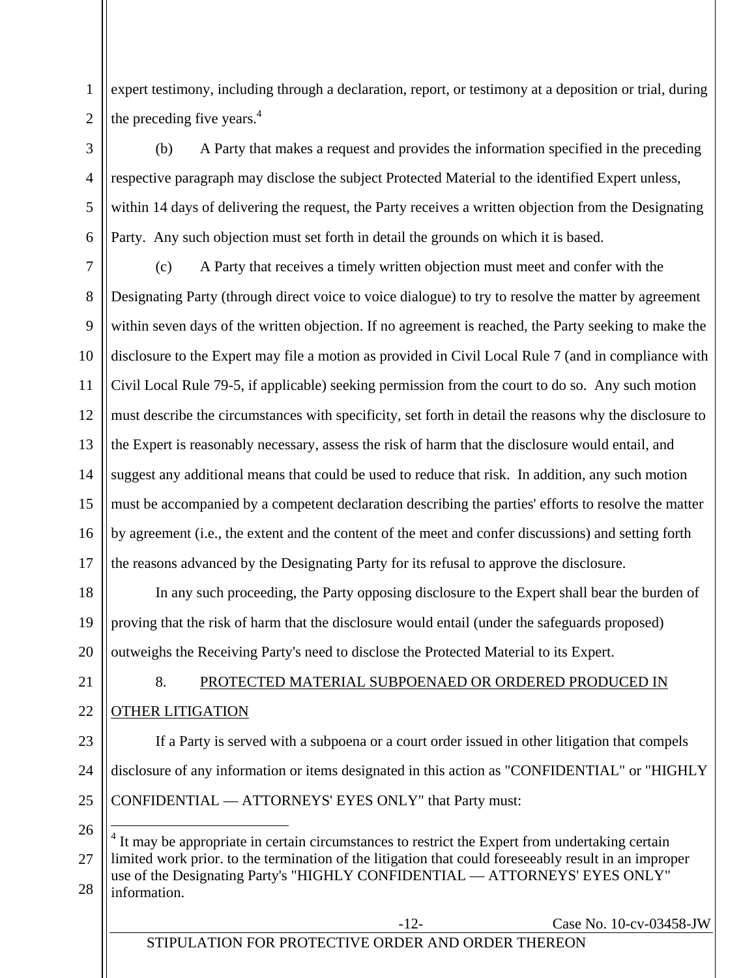expert testimony, including through a declaration, report, or testimony at a deposition or trial, during the preceding five years. $4$ 

(b) A Party that makes a request and provides the information specified in the preceding respective paragraph may disclose the subject Protected Material to the identified Expert unless, within 14 days of delivering the request, the Party receives a written objection from the Designating Party. Any such objection must set forth in detail the grounds on which it is based.

7 8 9 10 11 12 13 14 15 16 17 (c) A Party that receives a timely written objection must meet and confer with the Designating Party (through direct voice to voice dialogue) to try to resolve the matter by agreement within seven days of the written objection. If no agreement is reached, the Party seeking to make the disclosure to the Expert may file a motion as provided in Civil Local Rule 7 (and in compliance with Civil Local Rule 79-5, if applicable) seeking permission from the court to do so. Any such motion must describe the circumstances with specificity, set forth in detail the reasons why the disclosure to the Expert is reasonably necessary, assess the risk of harm that the disclosure would entail, and suggest any additional means that could be used to reduce that risk. In addition, any such motion must be accompanied by a competent declaration describing the parties' efforts to resolve the matter by agreement (i.e., the extent and the content of the meet and confer discussions) and setting forth the reasons advanced by the Designating Party for its refusal to approve the disclosure.

18 19 20 In any such proceeding, the Party opposing disclosure to the Expert shall bear the burden of proving that the risk of harm that the disclosure would entail (under the safeguards proposed) outweighs the Receiving Party's need to disclose the Protected Material to its Expert.

21

22

1

 $\overline{2}$ 

3

4

5

6

# 8. PROTECTED MATERIAL SUBPOENAED OR ORDERED PRODUCED IN OTHER LITIGATION

23 24 25 If a Party is served with a subpoena or a court order issued in other litigation that compels disclosure of any information or items designated in this action as "CONFIDENTIAL" or "HIGHLY CONFIDENTIAL — ATTORNEYS' EYES ONLY" that Party must:

26

1

27 28  $4$  It may be appropriate in certain circumstances to restrict the Expert from undertaking certain limited work prior. to the termination of the litigation that could foreseeably result in an improper use of the Designating Party's "HIGHLY CONFIDENTIAL — ATTORNEYS' EYES ONLY" information.

-12- Case No. 10-cv-03458-JW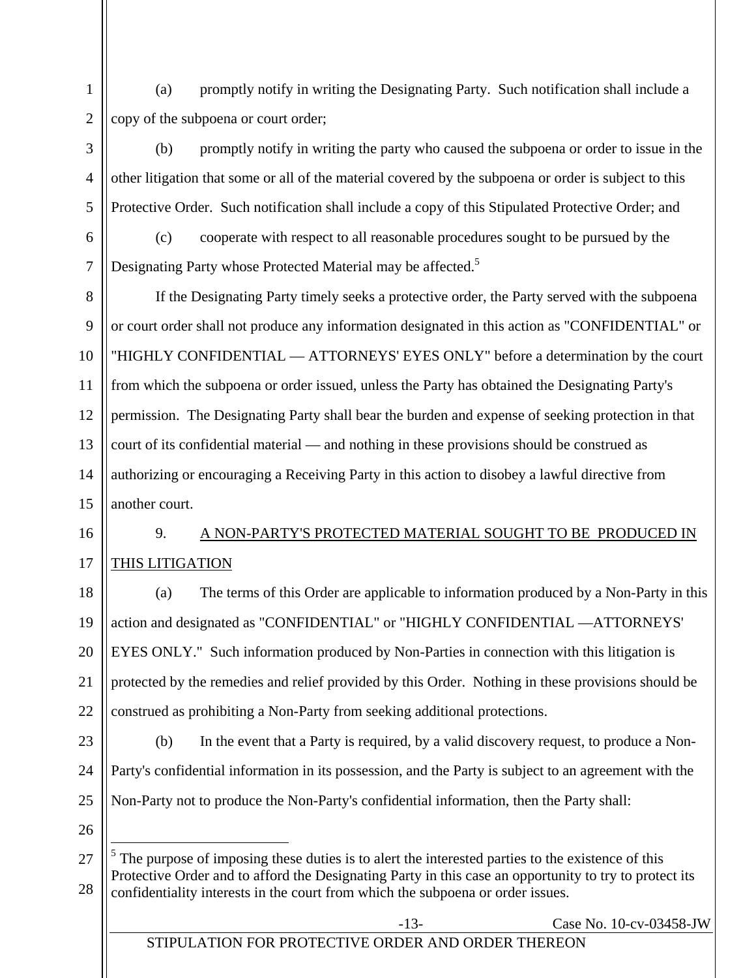(a) promptly notify in writing the Designating Party. Such notification shall include a copy of the subpoena or court order;

(b) promptly notify in writing the party who caused the subpoena or order to issue in the other litigation that some or all of the material covered by the subpoena or order is subject to this Protective Order. Such notification shall include a copy of this Stipulated Protective Order; and

6 7 (c) cooperate with respect to all reasonable procedures sought to be pursued by the Designating Party whose Protected Material may be affected.<sup>5</sup>

8 9 10 11 12 13 14 15 If the Designating Party timely seeks a protective order, the Party served with the subpoena or court order shall not produce any information designated in this action as "CONFIDENTIAL" or "HIGHLY CONFIDENTIAL — ATTORNEYS' EYES ONLY" before a determination by the court from which the subpoena or order issued, unless the Party has obtained the Designating Party's permission. The Designating Party shall bear the burden and expense of seeking protection in that court of its confidential material — and nothing in these provisions should be construed as authorizing or encouraging a Receiving Party in this action to disobey a lawful directive from another court.

16 17 9. A NON-PARTY'S PROTECTED MATERIAL SOUGHT TO BE PRODUCED IN THIS LITIGATION

18 19 20 21 22 (a) The terms of this Order are applicable to information produced by a Non-Party in this action and designated as "CONFIDENTIAL" or "HIGHLY CONFIDENTIAL —ATTORNEYS' EYES ONLY." Such information produced by Non-Parties in connection with this litigation is protected by the remedies and relief provided by this Order. Nothing in these provisions should be construed as prohibiting a Non-Party from seeking additional protections.

23 24 25 (b) In the event that a Party is required, by a valid discovery request, to produce a Non-Party's confidential information in its possession, and the Party is subject to an agreement with the Non-Party not to produce the Non-Party's confidential information, then the Party shall:

26

 $\overline{a}$ 

1

 $\overline{2}$ 

3

4

5

27

<sup>28</sup>  $<sup>5</sup>$  The purpose of imposing these duties is to alert the interested parties to the existence of this</sup> Protective Order and to afford the Designating Party in this case an opportunity to try to protect its confidentiality interests in the court from which the subpoena or order issues.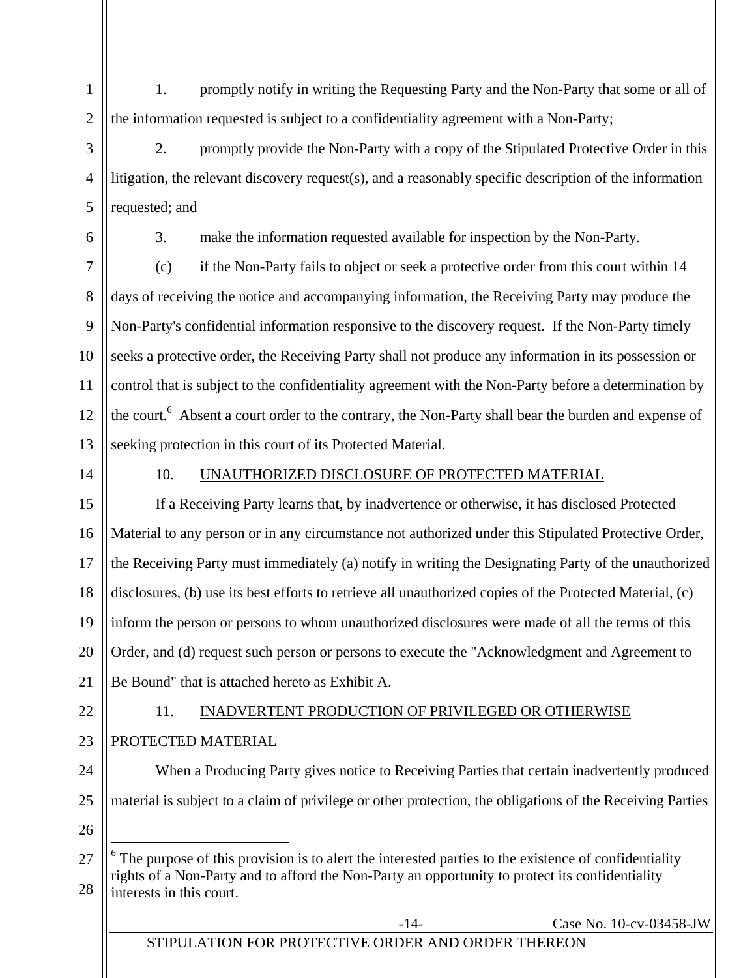1. promptly notify in writing the Requesting Party and the Non-Party that some or all of the information requested is subject to a confidentiality agreement with a Non-Party;

2. promptly provide the Non-Party with a copy of the Stipulated Protective Order in this litigation, the relevant discovery request(s), and a reasonably specific description of the information requested; and

1

 $\overline{2}$ 

3

4

5

6

3. make the information requested available for inspection by the Non-Party.

7 8 9 10 11 12 13 (c) if the Non-Party fails to object or seek a protective order from this court within 14 days of receiving the notice and accompanying information, the Receiving Party may produce the Non-Party's confidential information responsive to the discovery request. If the Non-Party timely seeks a protective order, the Receiving Party shall not produce any information in its possession or control that is subject to the confidentiality agreement with the Non-Party before a determination by the court.<sup>6</sup> Absent a court order to the contrary, the Non-Party shall bear the burden and expense of seeking protection in this court of its Protected Material.

14

## 10. UNAUTHORIZED DISCLOSURE OF PROTECTED MATERIAL

15 16 17 18 19 20 21 If a Receiving Party learns that, by inadvertence or otherwise, it has disclosed Protected Material to any person or in any circumstance not authorized under this Stipulated Protective Order, the Receiving Party must immediately (a) notify in writing the Designating Party of the unauthorized disclosures, (b) use its best efforts to retrieve all unauthorized copies of the Protected Material, (c) inform the person or persons to whom unauthorized disclosures were made of all the terms of this Order, and (d) request such person or persons to execute the "Acknowledgment and Agreement to Be Bound" that is attached hereto as Exhibit A.

22

## 11. INADVERTENT PRODUCTION OF PRIVILEGED OR OTHERWISE

#### 23 PROTECTED MATERIAL

24 25 When a Producing Party gives notice to Receiving Parties that certain inadvertently produced material is subject to a claim of privilege or other protection, the obligations of the Receiving Parties

26

 $\overline{a}$ 

27 28  $6$  The purpose of this provision is to alert the interested parties to the existence of confidentiality rights of a Non-Party and to afford the Non-Party an opportunity to protect its confidentiality interests in this court.

-14- Case No. 10-cv-03458-JW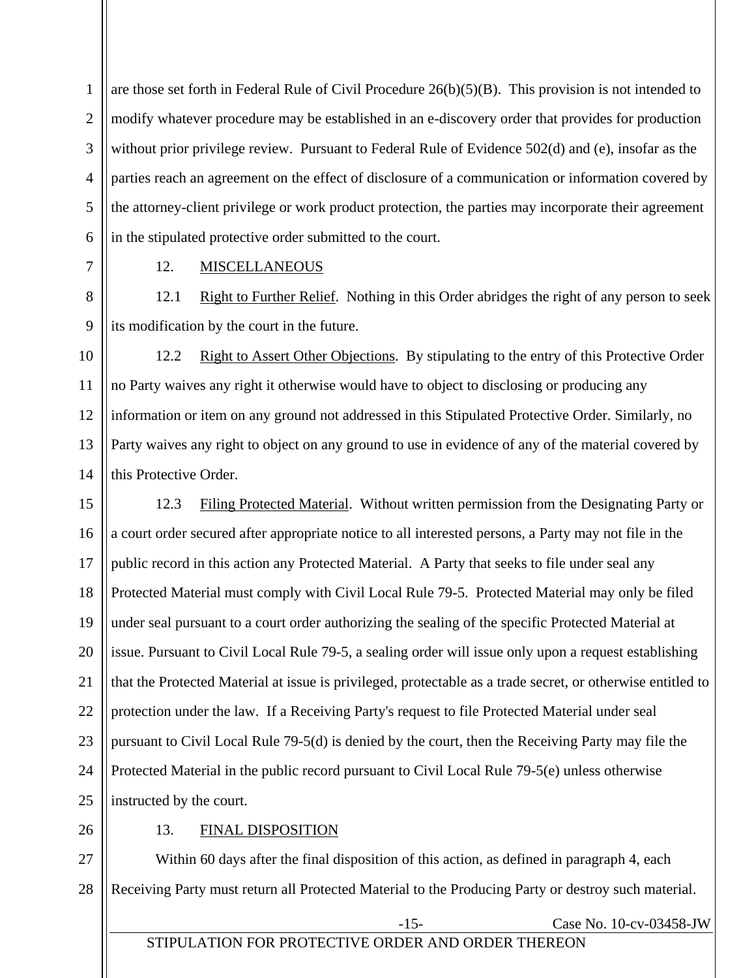1  $\mathfrak{D}$ 3 4 5 6 are those set forth in Federal Rule of Civil Procedure 26(b)(5)(B). This provision is not intended to modify whatever procedure may be established in an e-discovery order that provides for production without prior privilege review. Pursuant to Federal Rule of Evidence 502(d) and (e), insofar as the parties reach an agreement on the effect of disclosure of a communication or information covered by the attorney-client privilege or work product protection, the parties may incorporate their agreement in the stipulated protective order submitted to the court.

7

## 12. MISCELLANEOUS

8 9 12.1 Right to Further Relief. Nothing in this Order abridges the right of any person to seek its modification by the court in the future.

10 11 12 13 14 12.2 Right to Assert Other Objections. By stipulating to the entry of this Protective Order no Party waives any right it otherwise would have to object to disclosing or producing any information or item on any ground not addressed in this Stipulated Protective Order. Similarly, no Party waives any right to object on any ground to use in evidence of any of the material covered by this Protective Order.

15 16 17 18 19 20 21 22 23 24 25 12.3 Filing Protected Material. Without written permission from the Designating Party or a court order secured after appropriate notice to all interested persons, a Party may not file in the public record in this action any Protected Material. A Party that seeks to file under seal any Protected Material must comply with Civil Local Rule 79-5. Protected Material may only be filed under seal pursuant to a court order authorizing the sealing of the specific Protected Material at issue. Pursuant to Civil Local Rule 79-5, a sealing order will issue only upon a request establishing that the Protected Material at issue is privileged, protectable as a trade secret, or otherwise entitled to protection under the law. If a Receiving Party's request to file Protected Material under seal pursuant to Civil Local Rule 79-5(d) is denied by the court, then the Receiving Party may file the Protected Material in the public record pursuant to Civil Local Rule 79-5(e) unless otherwise instructed by the court.

26

## 13. FINAL DISPOSITION

27 28 Within 60 days after the final disposition of this action, as defined in paragraph 4, each Receiving Party must return all Protected Material to the Producing Party or destroy such material.

-15- Case No. 10-cv-03458-JW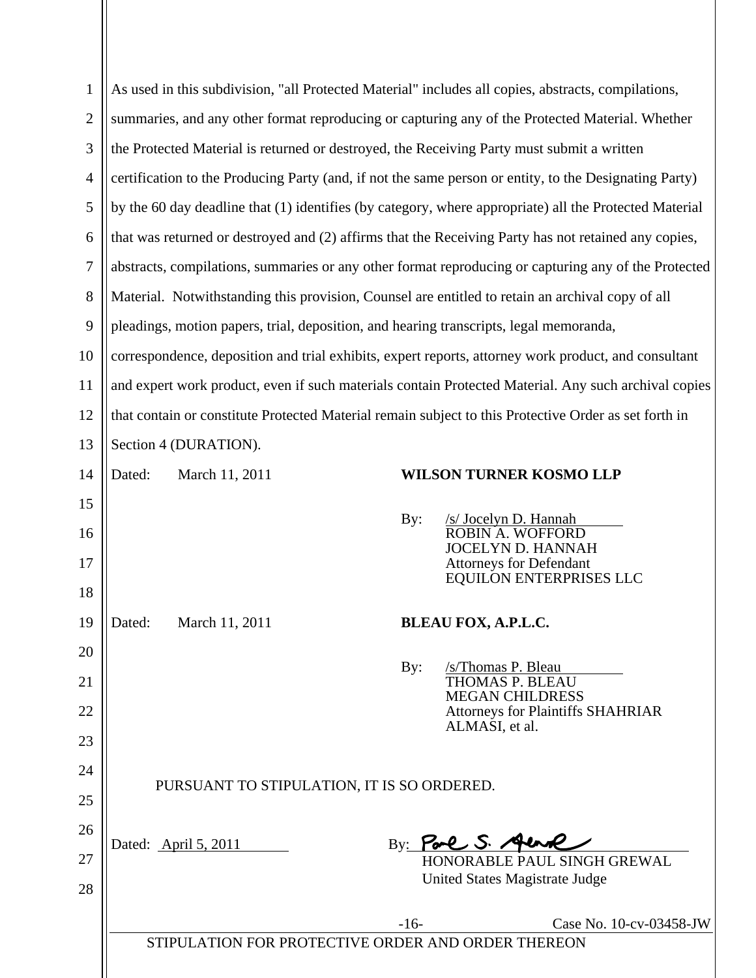| 1              | As used in this subdivision, "all Protected Material" includes all copies, abstracts, compilations,    |  |
|----------------|--------------------------------------------------------------------------------------------------------|--|
| $\overline{2}$ | summaries, and any other format reproducing or capturing any of the Protected Material. Whether        |  |
| 3              | the Protected Material is returned or destroyed, the Receiving Party must submit a written             |  |
| 4              | certification to the Producing Party (and, if not the same person or entity, to the Designating Party) |  |
| 5              | by the 60 day deadline that (1) identifies (by category, where appropriate) all the Protected Material |  |
| 6              | that was returned or destroyed and (2) affirms that the Receiving Party has not retained any copies,   |  |
| 7              | abstracts, compilations, summaries or any other format reproducing or capturing any of the Protected   |  |
| 8              | Material. Notwithstanding this provision, Counsel are entitled to retain an archival copy of all       |  |
| 9              | pleadings, motion papers, trial, deposition, and hearing transcripts, legal memoranda,                 |  |
| 10             | correspondence, deposition and trial exhibits, expert reports, attorney work product, and consultant   |  |
| 11             | and expert work product, even if such materials contain Protected Material. Any such archival copies   |  |
| 12             | that contain or constitute Protected Material remain subject to this Protective Order as set forth in  |  |
| 13             | Section 4 (DURATION).                                                                                  |  |
| 14             | WILSON TURNER KOSMO LLP<br>Dated:<br>March 11, 2011                                                    |  |
| 15             | By:<br>/s/ Jocelyn D. Hannah                                                                           |  |
| 16             | ROBIN A. WOFFORD<br><b>JOCELYN D. HANNAH</b>                                                           |  |
| 17             | <b>Attorneys for Defendant</b><br><b>EQUILON ENTERPRISES LLC</b>                                       |  |
| 18             |                                                                                                        |  |
|                | 19    Dated: March 11, 2011<br><b>BLEAU FOX, A.P.L.C.</b>                                              |  |
| 20             | /s/Thomas P. Bleau<br>By:                                                                              |  |
| 21             | <b>THOMAS P. BLEAU</b><br><b>MEGAN CHILDRESS</b>                                                       |  |
| 22             | Attorneys for Plaintiffs SHAHRIAR<br>ALMASI, et al.                                                    |  |
| 23             |                                                                                                        |  |
| 24             | PURSUANT TO STIPULATION, IT IS SO ORDERED.                                                             |  |
| 25             |                                                                                                        |  |
| 26             | By: Pare S. Aland<br>Dated: April 5, 2011                                                              |  |
| 27             | HONORABLE PAUL SINGH GREWAL<br>United States Magistrate Judge                                          |  |
| 28             |                                                                                                        |  |
|                | $-16-$<br>Case No. 10-cv-03458-JW                                                                      |  |
|                | STIPULATION FOR PROTECTIVE ORDER AND ORDER THEREON                                                     |  |
|                |                                                                                                        |  |

Ш